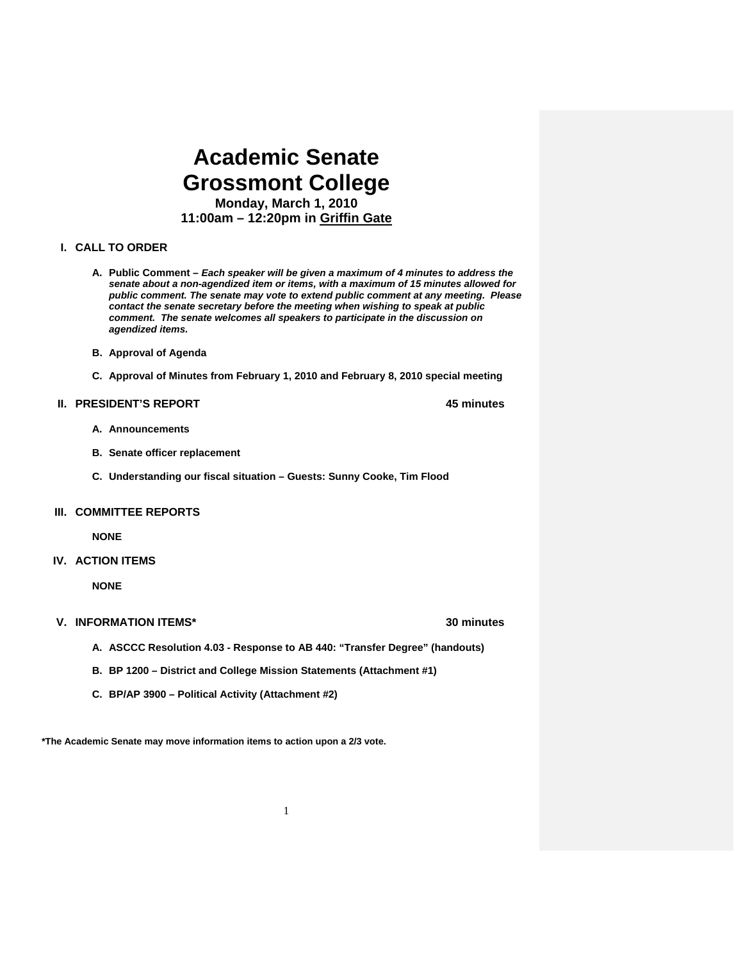# **Academic Senate Grossmont College Monday, March 1, 2010**

**11:00am – 12:20pm in Griffin Gate** 

### **I. CALL TO ORDER**

- **A. Public Comment** *Each speaker will be given a maximum of 4 minutes to address the senate about a non-agendized item or items, with a maximum of 15 minutes allowed for public comment. The senate may vote to extend public comment at any meeting. Please contact the senate secretary before the meeting when wishing to speak at public comment. The senate welcomes all speakers to participate in the discussion on agendized items.*
- **B. Approval of Agenda**
- **C. Approval of Minutes from February 1, 2010 and February 8, 2010 special meeting**

### **II. PRESIDENT'S REPORT 45 minutes**

- **A. Announcements**
- **B. Senate officer replacement**
- **C. Understanding our fiscal situation Guests: Sunny Cooke, Tim Flood**

### **III. COMMITTEE REPORTS**

 **NONE** 

### **IV. ACTION ITEMS**

**NONE** 

### **V. INFORMATION ITEMS\* 30 minutes**

- **A. ASCCC Resolution 4.03 Response to AB 440: "Transfer Degree" (handouts)**
- **B. BP 1200 District and College Mission Statements (Attachment #1)**
- **C. BP/AP 3900 Political Activity (Attachment #2)**

**\*The Academic Senate may move information items to action upon a 2/3 vote.**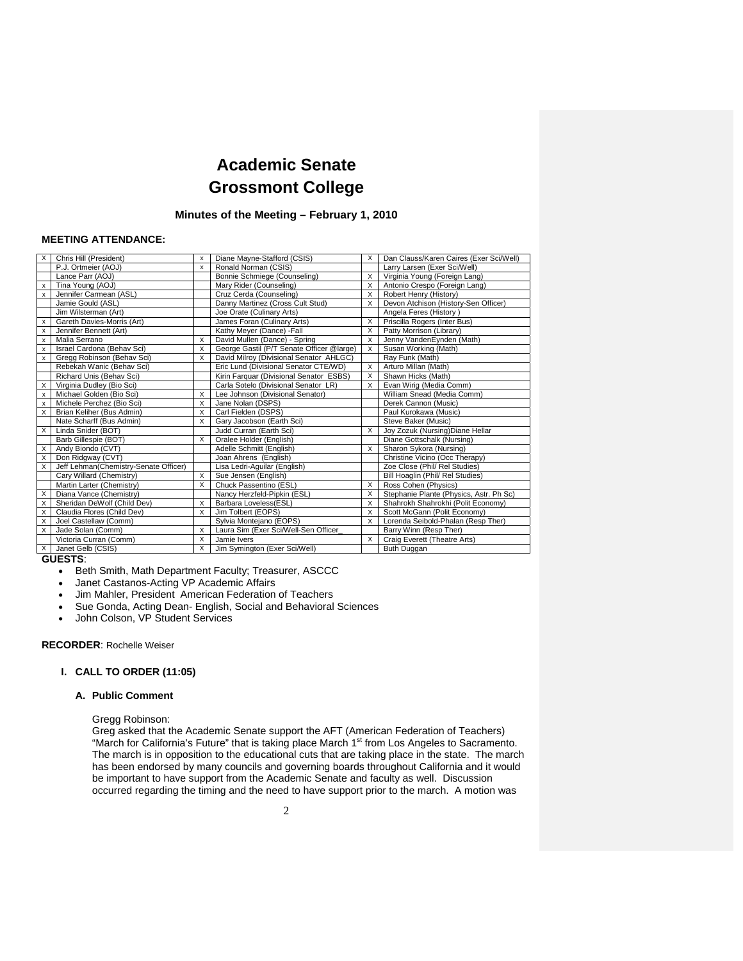## **Academic Senate Grossmont College**

### **Minutes of the Meeting – February 1, 2010**

### **MEETING ATTENDANCE:**

| P.J. Ortmeier (AOJ)<br>Ronald Norman (CSIS)<br>Larry Larsen (Exer Sci/Well)<br>x<br>Bonnie Schmiege (Counseling)<br>X<br>Virginia Young (Foreign Lang)<br>Lance Parr (AOJ)<br>Tina Young (AOJ)<br>Mary Rider (Counseling)<br>X<br>Antonio Crespo (Foreign Lang)<br>х<br>Jennifer Carmean (ASL)<br>Cruz Cerda (Counseling)<br>Robert Henry (History)<br>х<br>x<br>Danny Martinez (Cross Cult Stud)<br>Devon Atchison (History-Sen Officer)<br>Jamie Gould (ASL)<br>X<br>Jim Wilsterman (Art)<br>Joe Orate (Culinary Arts)<br>Angela Feres (History)<br>X<br>Priscilla Rogers (Inter Bus)<br>Gareth Davies-Morris (Art)<br>James Foran (Culinary Arts)<br>х<br>Jennifer Bennett (Art)<br>Kathy Mever (Dance) - Fall<br>X<br>Patty Morrison (Library)<br>х<br>Jenny VandenEynden (Math)<br>Malia Serrano<br>David Mullen (Dance) - Spring<br>X<br>X<br>x<br>Israel Cardona (Behav Sci)<br>George Gastil (P/T Senate Officer @large)<br>Susan Working (Math)<br>X<br>$\times$<br>x<br>Gregg Robinson (Behav Sci)<br>David Milroy (Divisional Senator AHLGC)<br>X<br>Ray Funk (Math)<br>x<br>Eric Lund (Divisional Senator CTE/WD)<br>Rebekah Wanic (Behav Sci)<br>Arturo Millan (Math)<br>X<br>Kirin Farquar (Divisional Senator ESBS)<br>Richard Unis (Behav Sci)<br>Shawn Hicks (Math)<br>X<br>Carla Sotelo (Divisional Senator LR)<br>Virginia Dudley (Bio Sci)<br>Evan Wirig (Media Comm)<br>X<br>Michael Golden (Bio Sci)<br>X<br>Lee Johnson (Divisional Senator)<br>William Snead (Media Comm)<br>x<br>Michele Perchez (Bio Sci)<br>X<br>Derek Cannon (Music)<br>Jane Nolan (DSPS)<br>x<br>Brian Keliher (Bus Admin)<br>Carl Fielden (DSPS)<br>Paul Kurokawa (Music)<br>X<br>X<br>Nate Scharff (Bus Admin)<br>Gary Jacobson (Earth Sci)<br>Steve Baker (Music)<br>x<br>Joy Zozuk (Nursing) Diane Hellar<br>Linda Snider (BOT)<br>Judd Curran (Earth Sci)<br>X<br>X<br>X<br>Diane Gottschalk (Nursing)<br>Barb Gillespie (BOT)<br>Oralee Holder (English)<br>Andy Biondo (CVT)<br>Adelle Schmitt (English)<br>X<br>Sharon Sykora (Nursing)<br>X<br>Don Ridgway (CVT)<br>Joan Ahrens (English)<br>Christine Vicino (Occ Therapy)<br>X<br>Jeff Lehman(Chemistry-Senate Officer)<br>Lisa Ledri-Aguilar (English)<br>Zoe Close (Phil/ Rel Studies)<br>X<br>Bill Hoaglin (Phil/ Rel Studies)<br>Cary Willard (Chemistry)<br>Sue Jensen (English)<br>Martin Larter (Chemistry)<br>X<br>Chuck Passentino (ESL)<br>Ross Cohen (Physics)<br>X<br>Diana Vance (Chemistry)<br>Stephanie Plante (Physics, Astr. Ph Sc)<br>Nancy Herzfeld-Pipkin (ESL)<br>X<br>Shahrokh Shahrokhi (Polit Economy)<br>Sheridan DeWolf (Child Dev)<br>Barbara Loveless(ESL)<br>X<br>X<br>Claudia Flores (Child Dev)<br>X<br>Jim Tolbert (EOPS)<br>Scott McGann (Polit Economy)<br>X<br>Lorenda Seibold-Phalan (Resp Ther)<br>Joel Castellaw (Comm)<br>Sylvia Montejano (EOPS)<br>X<br>Laura Sim (Exer Sci/Well-Sen Officer<br>Barry Winn (Resp Ther)<br>X<br>Jade Solan (Comm)<br>X<br>Victoria Curran (Comm)<br>X<br>Jamie Ivers<br>Craig Everett (Theatre Arts)<br>X<br>X<br>Janet Gelb (CSIS)<br>X<br>Jim Symington (Exer Sci/Well)<br>Buth Duggan | X        | Chris Hill (President) | x | Diane Mayne-Stafford (CSIS) | X | Dan Clauss/Karen Caires (Exer Sci/Well) |
|--------------------------------------------------------------------------------------------------------------------------------------------------------------------------------------------------------------------------------------------------------------------------------------------------------------------------------------------------------------------------------------------------------------------------------------------------------------------------------------------------------------------------------------------------------------------------------------------------------------------------------------------------------------------------------------------------------------------------------------------------------------------------------------------------------------------------------------------------------------------------------------------------------------------------------------------------------------------------------------------------------------------------------------------------------------------------------------------------------------------------------------------------------------------------------------------------------------------------------------------------------------------------------------------------------------------------------------------------------------------------------------------------------------------------------------------------------------------------------------------------------------------------------------------------------------------------------------------------------------------------------------------------------------------------------------------------------------------------------------------------------------------------------------------------------------------------------------------------------------------------------------------------------------------------------------------------------------------------------------------------------------------------------------------------------------------------------------------------------------------------------------------------------------------------------------------------------------------------------------------------------------------------------------------------------------------------------------------------------------------------------------------------------------------------------------------------------------------------------------------------------------------------------------------------------------------------------------------------------------------------------------------------------------------------------------------------------------------------------------------------------------------------------------------------------------------------------------------------------------------------------------------------------------------------------------------------------------------------------------------------------------------------------------------------------------------------------------------------------------------------|----------|------------------------|---|-----------------------------|---|-----------------------------------------|
|                                                                                                                                                                                                                                                                                                                                                                                                                                                                                                                                                                                                                                                                                                                                                                                                                                                                                                                                                                                                                                                                                                                                                                                                                                                                                                                                                                                                                                                                                                                                                                                                                                                                                                                                                                                                                                                                                                                                                                                                                                                                                                                                                                                                                                                                                                                                                                                                                                                                                                                                                                                                                                                                                                                                                                                                                                                                                                                                                                                                                                                                                                                          |          |                        |   |                             |   |                                         |
|                                                                                                                                                                                                                                                                                                                                                                                                                                                                                                                                                                                                                                                                                                                                                                                                                                                                                                                                                                                                                                                                                                                                                                                                                                                                                                                                                                                                                                                                                                                                                                                                                                                                                                                                                                                                                                                                                                                                                                                                                                                                                                                                                                                                                                                                                                                                                                                                                                                                                                                                                                                                                                                                                                                                                                                                                                                                                                                                                                                                                                                                                                                          |          |                        |   |                             |   |                                         |
|                                                                                                                                                                                                                                                                                                                                                                                                                                                                                                                                                                                                                                                                                                                                                                                                                                                                                                                                                                                                                                                                                                                                                                                                                                                                                                                                                                                                                                                                                                                                                                                                                                                                                                                                                                                                                                                                                                                                                                                                                                                                                                                                                                                                                                                                                                                                                                                                                                                                                                                                                                                                                                                                                                                                                                                                                                                                                                                                                                                                                                                                                                                          |          |                        |   |                             |   |                                         |
|                                                                                                                                                                                                                                                                                                                                                                                                                                                                                                                                                                                                                                                                                                                                                                                                                                                                                                                                                                                                                                                                                                                                                                                                                                                                                                                                                                                                                                                                                                                                                                                                                                                                                                                                                                                                                                                                                                                                                                                                                                                                                                                                                                                                                                                                                                                                                                                                                                                                                                                                                                                                                                                                                                                                                                                                                                                                                                                                                                                                                                                                                                                          |          |                        |   |                             |   |                                         |
|                                                                                                                                                                                                                                                                                                                                                                                                                                                                                                                                                                                                                                                                                                                                                                                                                                                                                                                                                                                                                                                                                                                                                                                                                                                                                                                                                                                                                                                                                                                                                                                                                                                                                                                                                                                                                                                                                                                                                                                                                                                                                                                                                                                                                                                                                                                                                                                                                                                                                                                                                                                                                                                                                                                                                                                                                                                                                                                                                                                                                                                                                                                          |          |                        |   |                             |   |                                         |
|                                                                                                                                                                                                                                                                                                                                                                                                                                                                                                                                                                                                                                                                                                                                                                                                                                                                                                                                                                                                                                                                                                                                                                                                                                                                                                                                                                                                                                                                                                                                                                                                                                                                                                                                                                                                                                                                                                                                                                                                                                                                                                                                                                                                                                                                                                                                                                                                                                                                                                                                                                                                                                                                                                                                                                                                                                                                                                                                                                                                                                                                                                                          |          |                        |   |                             |   |                                         |
|                                                                                                                                                                                                                                                                                                                                                                                                                                                                                                                                                                                                                                                                                                                                                                                                                                                                                                                                                                                                                                                                                                                                                                                                                                                                                                                                                                                                                                                                                                                                                                                                                                                                                                                                                                                                                                                                                                                                                                                                                                                                                                                                                                                                                                                                                                                                                                                                                                                                                                                                                                                                                                                                                                                                                                                                                                                                                                                                                                                                                                                                                                                          |          |                        |   |                             |   |                                         |
|                                                                                                                                                                                                                                                                                                                                                                                                                                                                                                                                                                                                                                                                                                                                                                                                                                                                                                                                                                                                                                                                                                                                                                                                                                                                                                                                                                                                                                                                                                                                                                                                                                                                                                                                                                                                                                                                                                                                                                                                                                                                                                                                                                                                                                                                                                                                                                                                                                                                                                                                                                                                                                                                                                                                                                                                                                                                                                                                                                                                                                                                                                                          |          |                        |   |                             |   |                                         |
|                                                                                                                                                                                                                                                                                                                                                                                                                                                                                                                                                                                                                                                                                                                                                                                                                                                                                                                                                                                                                                                                                                                                                                                                                                                                                                                                                                                                                                                                                                                                                                                                                                                                                                                                                                                                                                                                                                                                                                                                                                                                                                                                                                                                                                                                                                                                                                                                                                                                                                                                                                                                                                                                                                                                                                                                                                                                                                                                                                                                                                                                                                                          |          |                        |   |                             |   |                                         |
|                                                                                                                                                                                                                                                                                                                                                                                                                                                                                                                                                                                                                                                                                                                                                                                                                                                                                                                                                                                                                                                                                                                                                                                                                                                                                                                                                                                                                                                                                                                                                                                                                                                                                                                                                                                                                                                                                                                                                                                                                                                                                                                                                                                                                                                                                                                                                                                                                                                                                                                                                                                                                                                                                                                                                                                                                                                                                                                                                                                                                                                                                                                          |          |                        |   |                             |   |                                         |
|                                                                                                                                                                                                                                                                                                                                                                                                                                                                                                                                                                                                                                                                                                                                                                                                                                                                                                                                                                                                                                                                                                                                                                                                                                                                                                                                                                                                                                                                                                                                                                                                                                                                                                                                                                                                                                                                                                                                                                                                                                                                                                                                                                                                                                                                                                                                                                                                                                                                                                                                                                                                                                                                                                                                                                                                                                                                                                                                                                                                                                                                                                                          |          |                        |   |                             |   |                                         |
|                                                                                                                                                                                                                                                                                                                                                                                                                                                                                                                                                                                                                                                                                                                                                                                                                                                                                                                                                                                                                                                                                                                                                                                                                                                                                                                                                                                                                                                                                                                                                                                                                                                                                                                                                                                                                                                                                                                                                                                                                                                                                                                                                                                                                                                                                                                                                                                                                                                                                                                                                                                                                                                                                                                                                                                                                                                                                                                                                                                                                                                                                                                          |          |                        |   |                             |   |                                         |
|                                                                                                                                                                                                                                                                                                                                                                                                                                                                                                                                                                                                                                                                                                                                                                                                                                                                                                                                                                                                                                                                                                                                                                                                                                                                                                                                                                                                                                                                                                                                                                                                                                                                                                                                                                                                                                                                                                                                                                                                                                                                                                                                                                                                                                                                                                                                                                                                                                                                                                                                                                                                                                                                                                                                                                                                                                                                                                                                                                                                                                                                                                                          |          |                        |   |                             |   |                                         |
|                                                                                                                                                                                                                                                                                                                                                                                                                                                                                                                                                                                                                                                                                                                                                                                                                                                                                                                                                                                                                                                                                                                                                                                                                                                                                                                                                                                                                                                                                                                                                                                                                                                                                                                                                                                                                                                                                                                                                                                                                                                                                                                                                                                                                                                                                                                                                                                                                                                                                                                                                                                                                                                                                                                                                                                                                                                                                                                                                                                                                                                                                                                          | X        |                        |   |                             |   |                                         |
|                                                                                                                                                                                                                                                                                                                                                                                                                                                                                                                                                                                                                                                                                                                                                                                                                                                                                                                                                                                                                                                                                                                                                                                                                                                                                                                                                                                                                                                                                                                                                                                                                                                                                                                                                                                                                                                                                                                                                                                                                                                                                                                                                                                                                                                                                                                                                                                                                                                                                                                                                                                                                                                                                                                                                                                                                                                                                                                                                                                                                                                                                                                          |          |                        |   |                             |   |                                         |
|                                                                                                                                                                                                                                                                                                                                                                                                                                                                                                                                                                                                                                                                                                                                                                                                                                                                                                                                                                                                                                                                                                                                                                                                                                                                                                                                                                                                                                                                                                                                                                                                                                                                                                                                                                                                                                                                                                                                                                                                                                                                                                                                                                                                                                                                                                                                                                                                                                                                                                                                                                                                                                                                                                                                                                                                                                                                                                                                                                                                                                                                                                                          |          |                        |   |                             |   |                                         |
|                                                                                                                                                                                                                                                                                                                                                                                                                                                                                                                                                                                                                                                                                                                                                                                                                                                                                                                                                                                                                                                                                                                                                                                                                                                                                                                                                                                                                                                                                                                                                                                                                                                                                                                                                                                                                                                                                                                                                                                                                                                                                                                                                                                                                                                                                                                                                                                                                                                                                                                                                                                                                                                                                                                                                                                                                                                                                                                                                                                                                                                                                                                          |          |                        |   |                             |   |                                         |
|                                                                                                                                                                                                                                                                                                                                                                                                                                                                                                                                                                                                                                                                                                                                                                                                                                                                                                                                                                                                                                                                                                                                                                                                                                                                                                                                                                                                                                                                                                                                                                                                                                                                                                                                                                                                                                                                                                                                                                                                                                                                                                                                                                                                                                                                                                                                                                                                                                                                                                                                                                                                                                                                                                                                                                                                                                                                                                                                                                                                                                                                                                                          |          |                        |   |                             |   |                                         |
|                                                                                                                                                                                                                                                                                                                                                                                                                                                                                                                                                                                                                                                                                                                                                                                                                                                                                                                                                                                                                                                                                                                                                                                                                                                                                                                                                                                                                                                                                                                                                                                                                                                                                                                                                                                                                                                                                                                                                                                                                                                                                                                                                                                                                                                                                                                                                                                                                                                                                                                                                                                                                                                                                                                                                                                                                                                                                                                                                                                                                                                                                                                          |          |                        |   |                             |   |                                         |
|                                                                                                                                                                                                                                                                                                                                                                                                                                                                                                                                                                                                                                                                                                                                                                                                                                                                                                                                                                                                                                                                                                                                                                                                                                                                                                                                                                                                                                                                                                                                                                                                                                                                                                                                                                                                                                                                                                                                                                                                                                                                                                                                                                                                                                                                                                                                                                                                                                                                                                                                                                                                                                                                                                                                                                                                                                                                                                                                                                                                                                                                                                                          |          |                        |   |                             |   |                                         |
|                                                                                                                                                                                                                                                                                                                                                                                                                                                                                                                                                                                                                                                                                                                                                                                                                                                                                                                                                                                                                                                                                                                                                                                                                                                                                                                                                                                                                                                                                                                                                                                                                                                                                                                                                                                                                                                                                                                                                                                                                                                                                                                                                                                                                                                                                                                                                                                                                                                                                                                                                                                                                                                                                                                                                                                                                                                                                                                                                                                                                                                                                                                          | X        |                        |   |                             |   |                                         |
|                                                                                                                                                                                                                                                                                                                                                                                                                                                                                                                                                                                                                                                                                                                                                                                                                                                                                                                                                                                                                                                                                                                                                                                                                                                                                                                                                                                                                                                                                                                                                                                                                                                                                                                                                                                                                                                                                                                                                                                                                                                                                                                                                                                                                                                                                                                                                                                                                                                                                                                                                                                                                                                                                                                                                                                                                                                                                                                                                                                                                                                                                                                          |          |                        |   |                             |   |                                         |
|                                                                                                                                                                                                                                                                                                                                                                                                                                                                                                                                                                                                                                                                                                                                                                                                                                                                                                                                                                                                                                                                                                                                                                                                                                                                                                                                                                                                                                                                                                                                                                                                                                                                                                                                                                                                                                                                                                                                                                                                                                                                                                                                                                                                                                                                                                                                                                                                                                                                                                                                                                                                                                                                                                                                                                                                                                                                                                                                                                                                                                                                                                                          |          |                        |   |                             |   |                                         |
|                                                                                                                                                                                                                                                                                                                                                                                                                                                                                                                                                                                                                                                                                                                                                                                                                                                                                                                                                                                                                                                                                                                                                                                                                                                                                                                                                                                                                                                                                                                                                                                                                                                                                                                                                                                                                                                                                                                                                                                                                                                                                                                                                                                                                                                                                                                                                                                                                                                                                                                                                                                                                                                                                                                                                                                                                                                                                                                                                                                                                                                                                                                          |          |                        |   |                             |   |                                         |
|                                                                                                                                                                                                                                                                                                                                                                                                                                                                                                                                                                                                                                                                                                                                                                                                                                                                                                                                                                                                                                                                                                                                                                                                                                                                                                                                                                                                                                                                                                                                                                                                                                                                                                                                                                                                                                                                                                                                                                                                                                                                                                                                                                                                                                                                                                                                                                                                                                                                                                                                                                                                                                                                                                                                                                                                                                                                                                                                                                                                                                                                                                                          |          |                        |   |                             |   |                                         |
|                                                                                                                                                                                                                                                                                                                                                                                                                                                                                                                                                                                                                                                                                                                                                                                                                                                                                                                                                                                                                                                                                                                                                                                                                                                                                                                                                                                                                                                                                                                                                                                                                                                                                                                                                                                                                                                                                                                                                                                                                                                                                                                                                                                                                                                                                                                                                                                                                                                                                                                                                                                                                                                                                                                                                                                                                                                                                                                                                                                                                                                                                                                          | $\times$ |                        |   |                             |   |                                         |
|                                                                                                                                                                                                                                                                                                                                                                                                                                                                                                                                                                                                                                                                                                                                                                                                                                                                                                                                                                                                                                                                                                                                                                                                                                                                                                                                                                                                                                                                                                                                                                                                                                                                                                                                                                                                                                                                                                                                                                                                                                                                                                                                                                                                                                                                                                                                                                                                                                                                                                                                                                                                                                                                                                                                                                                                                                                                                                                                                                                                                                                                                                                          | $\times$ |                        |   |                             |   |                                         |
|                                                                                                                                                                                                                                                                                                                                                                                                                                                                                                                                                                                                                                                                                                                                                                                                                                                                                                                                                                                                                                                                                                                                                                                                                                                                                                                                                                                                                                                                                                                                                                                                                                                                                                                                                                                                                                                                                                                                                                                                                                                                                                                                                                                                                                                                                                                                                                                                                                                                                                                                                                                                                                                                                                                                                                                                                                                                                                                                                                                                                                                                                                                          | X        |                        |   |                             |   |                                         |
|                                                                                                                                                                                                                                                                                                                                                                                                                                                                                                                                                                                                                                                                                                                                                                                                                                                                                                                                                                                                                                                                                                                                                                                                                                                                                                                                                                                                                                                                                                                                                                                                                                                                                                                                                                                                                                                                                                                                                                                                                                                                                                                                                                                                                                                                                                                                                                                                                                                                                                                                                                                                                                                                                                                                                                                                                                                                                                                                                                                                                                                                                                                          | X        |                        |   |                             |   |                                         |
|                                                                                                                                                                                                                                                                                                                                                                                                                                                                                                                                                                                                                                                                                                                                                                                                                                                                                                                                                                                                                                                                                                                                                                                                                                                                                                                                                                                                                                                                                                                                                                                                                                                                                                                                                                                                                                                                                                                                                                                                                                                                                                                                                                                                                                                                                                                                                                                                                                                                                                                                                                                                                                                                                                                                                                                                                                                                                                                                                                                                                                                                                                                          |          |                        |   |                             |   |                                         |
|                                                                                                                                                                                                                                                                                                                                                                                                                                                                                                                                                                                                                                                                                                                                                                                                                                                                                                                                                                                                                                                                                                                                                                                                                                                                                                                                                                                                                                                                                                                                                                                                                                                                                                                                                                                                                                                                                                                                                                                                                                                                                                                                                                                                                                                                                                                                                                                                                                                                                                                                                                                                                                                                                                                                                                                                                                                                                                                                                                                                                                                                                                                          |          |                        |   |                             |   |                                         |
|                                                                                                                                                                                                                                                                                                                                                                                                                                                                                                                                                                                                                                                                                                                                                                                                                                                                                                                                                                                                                                                                                                                                                                                                                                                                                                                                                                                                                                                                                                                                                                                                                                                                                                                                                                                                                                                                                                                                                                                                                                                                                                                                                                                                                                                                                                                                                                                                                                                                                                                                                                                                                                                                                                                                                                                                                                                                                                                                                                                                                                                                                                                          |          |                        |   |                             |   |                                         |

**GUESTS**:

- Beth Smith, Math Department Faculty; Treasurer, ASCCC
- Janet Castanos-Acting VP Academic Affairs
- Jim Mahler, President American Federation of Teachers
- Sue Gonda, Acting Dean- English, Social and Behavioral Sciences
- John Colson, VP Student Services

**RECORDER**: Rochelle Weiser

### **I. CALL TO ORDER (11:05)**

#### **A. Public Comment**

Gregg Robinson:

Greg asked that the Academic Senate support the AFT (American Federation of Teachers) "March for California's Future" that is taking place March 1<sup>st</sup> from Los Angeles to Sacramento. The march is in opposition to the educational cuts that are taking place in the state. The march has been endorsed by many councils and governing boards throughout California and it would be important to have support from the Academic Senate and faculty as well. Discussion occurred regarding the timing and the need to have support prior to the march. A motion was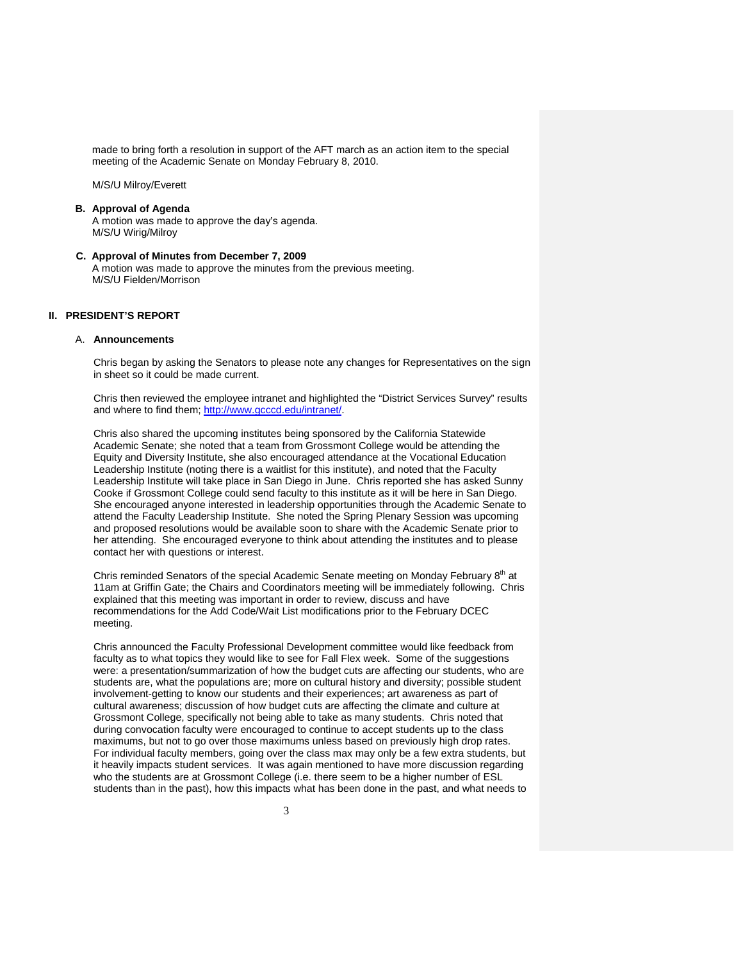made to bring forth a resolution in support of the AFT march as an action item to the special meeting of the Academic Senate on Monday February 8, 2010.

M/S/U Milroy/Everett

### **B. Approval of Agenda**

A motion was made to approve the day's agenda. M/S/U Wirig/Milroy

 **C. Approval of Minutes from December 7, 2009**  A motion was made to approve the minutes from the previous meeting. M/S/U Fielden/Morrison

### **II. PRESIDENT'S REPORT**

#### A. **Announcements**

Chris began by asking the Senators to please note any changes for Representatives on the sign in sheet so it could be made current.

Chris then reviewed the employee intranet and highlighted the "District Services Survey" results and where to find them; http://www.gcccd.edu/intranet/.

Chris also shared the upcoming institutes being sponsored by the California Statewide Academic Senate; she noted that a team from Grossmont College would be attending the Equity and Diversity Institute, she also encouraged attendance at the Vocational Education Leadership Institute (noting there is a waitlist for this institute), and noted that the Faculty Leadership Institute will take place in San Diego in June. Chris reported she has asked Sunny Cooke if Grossmont College could send faculty to this institute as it will be here in San Diego. She encouraged anyone interested in leadership opportunities through the Academic Senate to attend the Faculty Leadership Institute. She noted the Spring Plenary Session was upcoming and proposed resolutions would be available soon to share with the Academic Senate prior to her attending. She encouraged everyone to think about attending the institutes and to please contact her with questions or interest.

Chris reminded Senators of the special Academic Senate meeting on Monday February 8<sup>th</sup> at 11am at Griffin Gate; the Chairs and Coordinators meeting will be immediately following. Chris explained that this meeting was important in order to review, discuss and have recommendations for the Add Code/Wait List modifications prior to the February DCEC meeting.

Chris announced the Faculty Professional Development committee would like feedback from faculty as to what topics they would like to see for Fall Flex week. Some of the suggestions were: a presentation/summarization of how the budget cuts are affecting our students, who are students are, what the populations are; more on cultural history and diversity; possible student involvement-getting to know our students and their experiences; art awareness as part of cultural awareness; discussion of how budget cuts are affecting the climate and culture at Grossmont College, specifically not being able to take as many students. Chris noted that during convocation faculty were encouraged to continue to accept students up to the class maximums, but not to go over those maximums unless based on previously high drop rates. For individual faculty members, going over the class max may only be a few extra students, but it heavily impacts student services. It was again mentioned to have more discussion regarding who the students are at Grossmont College (i.e. there seem to be a higher number of ESL students than in the past), how this impacts what has been done in the past, and what needs to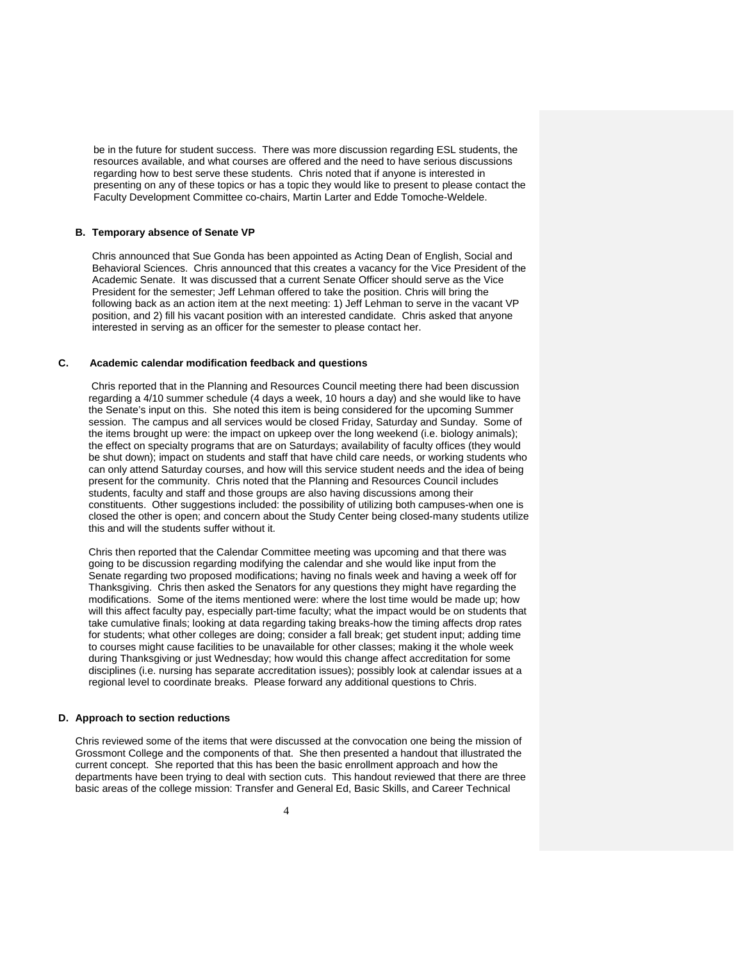be in the future for student success. There was more discussion regarding ESL students, the resources available, and what courses are offered and the need to have serious discussions regarding how to best serve these students. Chris noted that if anyone is interested in presenting on any of these topics or has a topic they would like to present to please contact the Faculty Development Committee co-chairs, Martin Larter and Edde Tomoche-Weldele.

#### **B. Temporary absence of Senate VP**

Chris announced that Sue Gonda has been appointed as Acting Dean of English, Social and Behavioral Sciences. Chris announced that this creates a vacancy for the Vice President of the Academic Senate. It was discussed that a current Senate Officer should serve as the Vice President for the semester; Jeff Lehman offered to take the position. Chris will bring the following back as an action item at the next meeting: 1) Jeff Lehman to serve in the vacant VP position, and 2) fill his vacant position with an interested candidate. Chris asked that anyone interested in serving as an officer for the semester to please contact her.

### **C. Academic calendar modification feedback and questions**

 Chris reported that in the Planning and Resources Council meeting there had been discussion regarding a 4/10 summer schedule (4 days a week, 10 hours a day) and she would like to have the Senate's input on this. She noted this item is being considered for the upcoming Summer session. The campus and all services would be closed Friday, Saturday and Sunday. Some of the items brought up were: the impact on upkeep over the long weekend (i.e. biology animals); the effect on specialty programs that are on Saturdays; availability of faculty offices (they would be shut down); impact on students and staff that have child care needs, or working students who can only attend Saturday courses, and how will this service student needs and the idea of being present for the community. Chris noted that the Planning and Resources Council includes students, faculty and staff and those groups are also having discussions among their constituents. Other suggestions included: the possibility of utilizing both campuses-when one is closed the other is open; and concern about the Study Center being closed-many students utilize this and will the students suffer without it.

Chris then reported that the Calendar Committee meeting was upcoming and that there was going to be discussion regarding modifying the calendar and she would like input from the Senate regarding two proposed modifications; having no finals week and having a week off for Thanksgiving. Chris then asked the Senators for any questions they might have regarding the modifications. Some of the items mentioned were: where the lost time would be made up; how will this affect faculty pay, especially part-time faculty; what the impact would be on students that take cumulative finals; looking at data regarding taking breaks-how the timing affects drop rates for students; what other colleges are doing; consider a fall break; get student input; adding time to courses might cause facilities to be unavailable for other classes; making it the whole week during Thanksgiving or just Wednesday; how would this change affect accreditation for some disciplines (i.e. nursing has separate accreditation issues); possibly look at calendar issues at a regional level to coordinate breaks. Please forward any additional questions to Chris.

#### **D. Approach to section reductions**

Chris reviewed some of the items that were discussed at the convocation one being the mission of Grossmont College and the components of that. She then presented a handout that illustrated the current concept. She reported that this has been the basic enrollment approach and how the departments have been trying to deal with section cuts. This handout reviewed that there are three basic areas of the college mission: Transfer and General Ed, Basic Skills, and Career Technical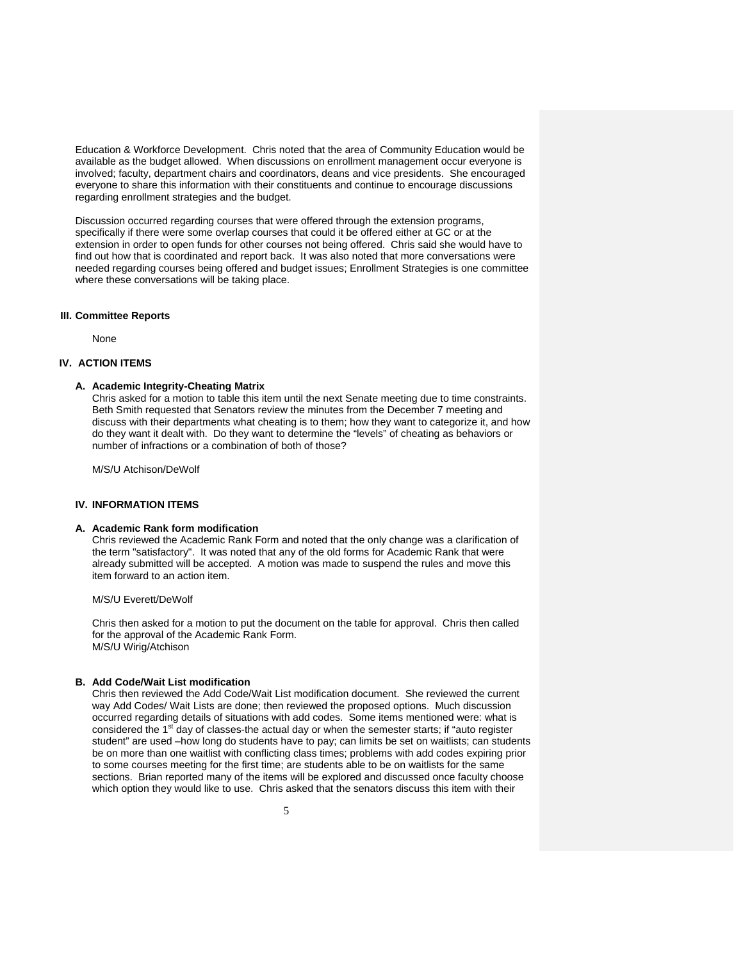Education & Workforce Development. Chris noted that the area of Community Education would be available as the budget allowed. When discussions on enrollment management occur everyone is involved; faculty, department chairs and coordinators, deans and vice presidents. She encouraged everyone to share this information with their constituents and continue to encourage discussions regarding enrollment strategies and the budget.

Discussion occurred regarding courses that were offered through the extension programs, specifically if there were some overlap courses that could it be offered either at GC or at the extension in order to open funds for other courses not being offered. Chris said she would have to find out how that is coordinated and report back. It was also noted that more conversations were needed regarding courses being offered and budget issues; Enrollment Strategies is one committee where these conversations will be taking place.

#### **III. Committee Reports**

None

### **IV. ACTION ITEMS**

#### **A. Academic Integrity-Cheating Matrix**

Chris asked for a motion to table this item until the next Senate meeting due to time constraints. Beth Smith requested that Senators review the minutes from the December 7 meeting and discuss with their departments what cheating is to them; how they want to categorize it, and how do they want it dealt with. Do they want to determine the "levels" of cheating as behaviors or number of infractions or a combination of both of those?

M/S/U Atchison/DeWolf

### **IV. INFORMATION ITEMS**

#### **A. Academic Rank form modification**

Chris reviewed the Academic Rank Form and noted that the only change was a clarification of the term "satisfactory". It was noted that any of the old forms for Academic Rank that were already submitted will be accepted. A motion was made to suspend the rules and move this item forward to an action item.

### M/S/U Everett/DeWolf

Chris then asked for a motion to put the document on the table for approval. Chris then called for the approval of the Academic Rank Form. M/S/U Wirig/Atchison

#### **B. Add Code/Wait List modification**

Chris then reviewed the Add Code/Wait List modification document. She reviewed the current way Add Codes/ Wait Lists are done; then reviewed the proposed options. Much discussion occurred regarding details of situations with add codes. Some items mentioned were: what is considered the 1<sup>st</sup> day of classes-the actual day or when the semester starts; if "auto register student" are used –how long do students have to pay; can limits be set on waitlists; can students be on more than one waitlist with conflicting class times; problems with add codes expiring prior to some courses meeting for the first time; are students able to be on waitlists for the same sections. Brian reported many of the items will be explored and discussed once faculty choose which option they would like to use. Chris asked that the senators discuss this item with their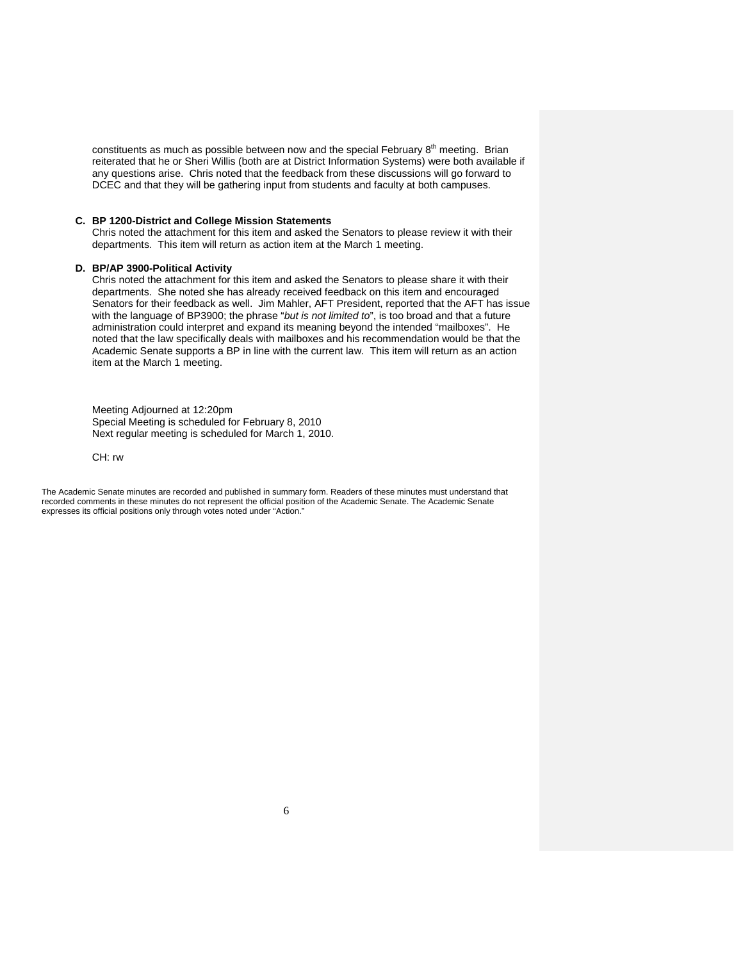constituents as much as possible between now and the special February  $8<sup>th</sup>$  meeting. Brian reiterated that he or Sheri Willis (both are at District Information Systems) were both available if any questions arise. Chris noted that the feedback from these discussions will go forward to DCEC and that they will be gathering input from students and faculty at both campuses.

#### **C. BP 1200-District and College Mission Statements**

Chris noted the attachment for this item and asked the Senators to please review it with their departments. This item will return as action item at the March 1 meeting.

#### **D. BP/AP 3900-Political Activity**

Chris noted the attachment for this item and asked the Senators to please share it with their departments. She noted she has already received feedback on this item and encouraged Senators for their feedback as well. Jim Mahler, AFT President, reported that the AFT has issue with the language of BP3900; the phrase "*but is not limited to*", is too broad and that a future administration could interpret and expand its meaning beyond the intended "mailboxes". He noted that the law specifically deals with mailboxes and his recommendation would be that the Academic Senate supports a BP in line with the current law. This item will return as an action item at the March 1 meeting.

Meeting Adjourned at 12:20pm Special Meeting is scheduled for February 8, 2010 Next regular meeting is scheduled for March 1, 2010.

CH: rw

The Academic Senate minutes are recorded and published in summary form. Readers of these minutes must understand that recorded comments in these minutes do not represent the official position of the Academic Senate. The Academic Senate expresses its official positions only through votes noted under "Action."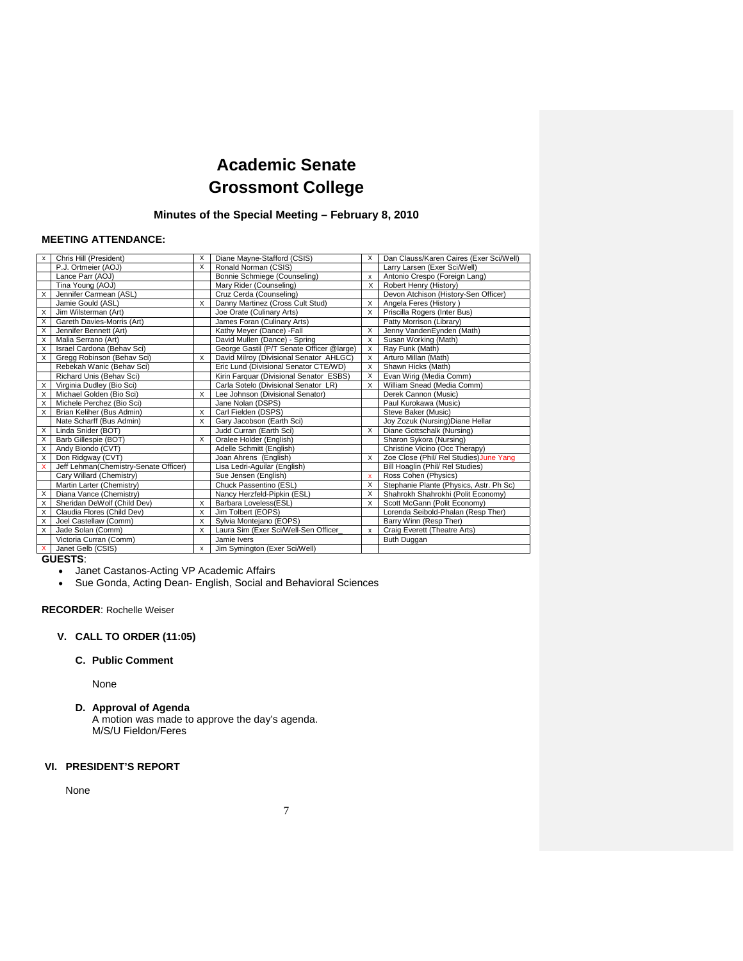# **Academic Senate Grossmont College**

### **Minutes of the Special Meeting – February 8, 2010**

### **MEETING ATTENDANCE:**

| x        | Chris Hill (President)                | X        | Diane Mayne-Stafford (CSIS)               | X | Dan Clauss/Karen Caires (Exer Sci/Well) |
|----------|---------------------------------------|----------|-------------------------------------------|---|-----------------------------------------|
|          | P.J. Ortmeier (AOJ)                   | X        | Ronald Norman (CSIS)                      |   | Larry Larsen (Exer Sci/Well)            |
|          | Lance Parr (AOJ)                      |          | Bonnie Schmiege (Counseling)              | x | Antonio Crespo (Foreign Lang)           |
|          | Tina Young (AOJ)                      |          | Mary Rider (Counseling)                   | X | Robert Henry (History)                  |
| $\times$ | Jennifer Carmean (ASL)                |          | Cruz Cerda (Counseling)                   |   | Devon Atchison (History-Sen Officer)    |
|          | Jamie Gould (ASL)                     | X        | Danny Martinez (Cross Cult Stud)          | X | Angela Feres (History)                  |
| Χ        | Jim Wilsterman (Art)                  |          | Joe Orate (Culinary Arts)                 | X | Priscilla Rogers (Inter Bus)            |
| X        | Gareth Davies-Morris (Art)            |          | James Foran (Culinary Arts)               |   | Patty Morrison (Library)                |
| X        | Jennifer Bennett (Art)                |          | Kathy Meyer (Dance) - Fall                | X | Jenny VandenEynden (Math)               |
| X        | Malia Serrano (Art)                   |          | David Mullen (Dance) - Spring             | X | Susan Working (Math)                    |
| $\times$ | Israel Cardona (Behav Sci)            |          | George Gastil (P/T Senate Officer @large) | X | Ray Funk (Math)                         |
| X        | Gregg Robinson (Behav Sci)            | X        | David Milroy (Divisional Senator AHLGC)   | X | Arturo Millan (Math)                    |
|          | Rebekah Wanic (Behav Sci)             |          | Eric Lund (Divisional Senator CTE/WD)     | X | Shawn Hicks (Math)                      |
|          | Richard Unis (Behav Sci)              |          | Kirin Farquar (Divisional Senator ESBS)   | X | Evan Wirig (Media Comm)                 |
| X        | Virginia Dudley (Bio Sci)             |          | Carla Sotelo (Divisional Senator LR)      | X | William Snead (Media Comm)              |
| X        | Michael Golden (Bio Sci)              | X        | Lee Johnson (Divisional Senator)          |   | Derek Cannon (Music)                    |
| X        | Michele Perchez (Bio Sci)             |          | Jane Nolan (DSPS)                         |   | Paul Kurokawa (Music)                   |
| X        | Brian Keliher (Bus Admin)             | X        | Carl Fielden (DSPS)                       |   | Steve Baker (Music)                     |
|          | Nate Scharff (Bus Admin)              | X        | Gary Jacobson (Earth Sci)                 |   | Joy Zozuk (Nursing) Diane Hellar        |
| X        | Linda Snider (BOT)                    |          | Judd Curran (Earth Sci)                   | X | Diane Gottschalk (Nursing)              |
| X        | Barb Gillespie (BOT)                  | X        | Oralee Holder (English)                   |   | Sharon Sykora (Nursing)                 |
| X        | Andy Biondo (CVT)                     |          | Adelle Schmitt (English)                  |   | Christine Vicino (Occ Therapy)          |
| X        | Don Ridgway (CVT)                     |          | Joan Ahrens (English)                     | X | Zoe Close (Phil/ Rel Studies) June Yang |
| x        | Jeff Lehman(Chemistry-Senate Officer) |          | Lisa Ledri-Aguilar (English)              |   | Bill Hoaglin (Phil/ Rel Studies)        |
|          | Cary Willard (Chemistry)              |          | Sue Jensen (English)                      | x | Ross Cohen (Physics)                    |
|          | Martin Larter (Chemistry)             |          | Chuck Passentino (ESL)                    | X | Stephanie Plante (Physics, Astr. Ph Sc) |
| $\times$ | Diana Vance (Chemistry)               |          | Nancy Herzfeld-Pipkin (ESL)               | X | Shahrokh Shahrokhi (Polit Economy)      |
| X        | Sheridan DeWolf (Child Dev)           | X        | Barbara Loveless(ESL)                     | X | Scott McGann (Polit Economy)            |
| X        | Claudia Flores (Child Dev)            | X        | Jim Tolbert (EOPS)                        |   | Lorenda Seibold-Phalan (Resp Ther)      |
| X        | Joel Castellaw (Comm)                 | X        | Sylvia Montejano (EOPS)                   |   | Barry Winn (Resp Ther)                  |
| X        | Jade Solan (Comm)                     | $\times$ | Laura Sim (Exer Sci/Well-Sen Officer_     | x | Craig Everett (Theatre Arts)            |
|          | Victoria Curran (Comm)                |          | Jamie Ivers                               |   | Buth Duggan                             |
| X        | Janet Gelb (CSIS)                     | x        | Jim Symington (Exer Sci/Well)             |   |                                         |

**GUESTS**:

Janet Castanos-Acting VP Academic Affairs

Sue Gonda, Acting Dean- English, Social and Behavioral Sciences

**RECORDER**: Rochelle Weiser

### **V. CALL TO ORDER (11:05)**

### **C. Public Comment**

None

**D. Approval of Agenda** 

A motion was made to approve the day's agenda. M/S/U Fieldon/Feres

### **VI. PRESIDENT'S REPORT**

None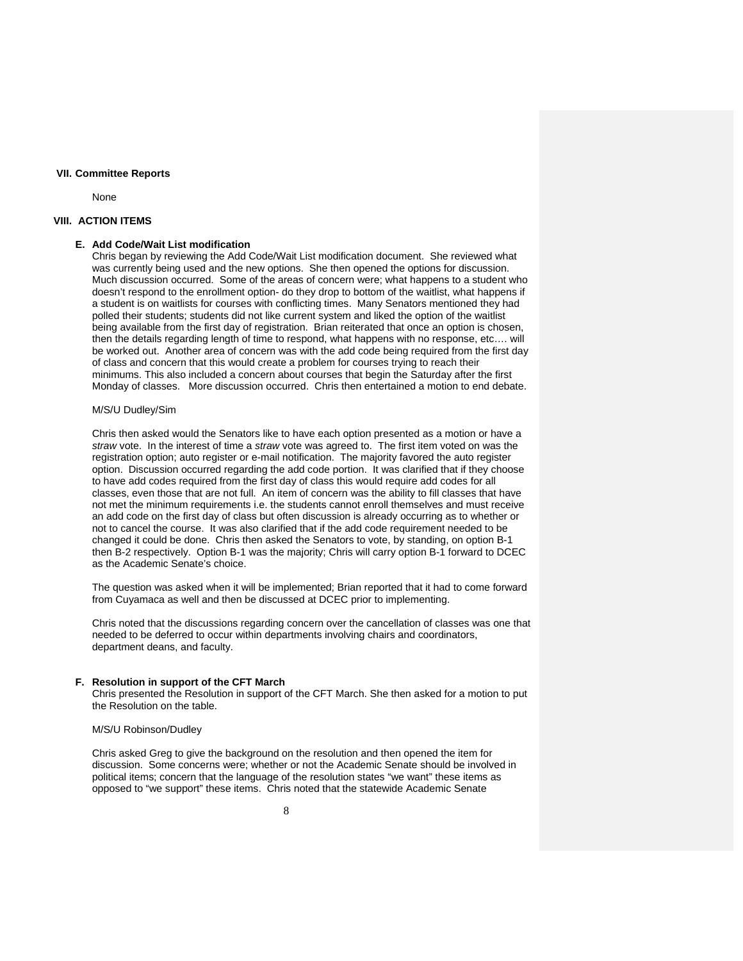### **VII. Committee Reports**

None

#### **VIII. ACTION ITEMS**

### **E. Add Code/Wait List modification**

Chris began by reviewing the Add Code/Wait List modification document. She reviewed what was currently being used and the new options. She then opened the options for discussion. Much discussion occurred. Some of the areas of concern were; what happens to a student who doesn't respond to the enrollment option- do they drop to bottom of the waitlist, what happens if a student is on waitlists for courses with conflicting times. Many Senators mentioned they had polled their students; students did not like current system and liked the option of the waitlist being available from the first day of registration. Brian reiterated that once an option is chosen, then the details regarding length of time to respond, what happens with no response, etc…. will be worked out. Another area of concern was with the add code being required from the first day of class and concern that this would create a problem for courses trying to reach their minimums. This also included a concern about courses that begin the Saturday after the first Monday of classes. More discussion occurred. Chris then entertained a motion to end debate.

### M/S/U Dudley/Sim

Chris then asked would the Senators like to have each option presented as a motion or have a *straw* vote. In the interest of time a *straw* vote was agreed to. The first item voted on was the registration option; auto register or e-mail notification. The majority favored the auto register option. Discussion occurred regarding the add code portion. It was clarified that if they choose to have add codes required from the first day of class this would require add codes for all classes, even those that are not full. An item of concern was the ability to fill classes that have not met the minimum requirements i.e. the students cannot enroll themselves and must receive an add code on the first day of class but often discussion is already occurring as to whether or not to cancel the course. It was also clarified that if the add code requirement needed to be changed it could be done. Chris then asked the Senators to vote, by standing, on option B-1 then B-2 respectively. Option B-1 was the majority; Chris will carry option B-1 forward to DCEC as the Academic Senate's choice.

The question was asked when it will be implemented; Brian reported that it had to come forward from Cuyamaca as well and then be discussed at DCEC prior to implementing.

Chris noted that the discussions regarding concern over the cancellation of classes was one that needed to be deferred to occur within departments involving chairs and coordinators, department deans, and faculty.

#### **F. Resolution in support of the CFT March**

Chris presented the Resolution in support of the CFT March. She then asked for a motion to put the Resolution on the table.

#### M/S/U Robinson/Dudley

Chris asked Greg to give the background on the resolution and then opened the item for discussion. Some concerns were; whether or not the Academic Senate should be involved in political items; concern that the language of the resolution states "we want" these items as opposed to "we support" these items. Chris noted that the statewide Academic Senate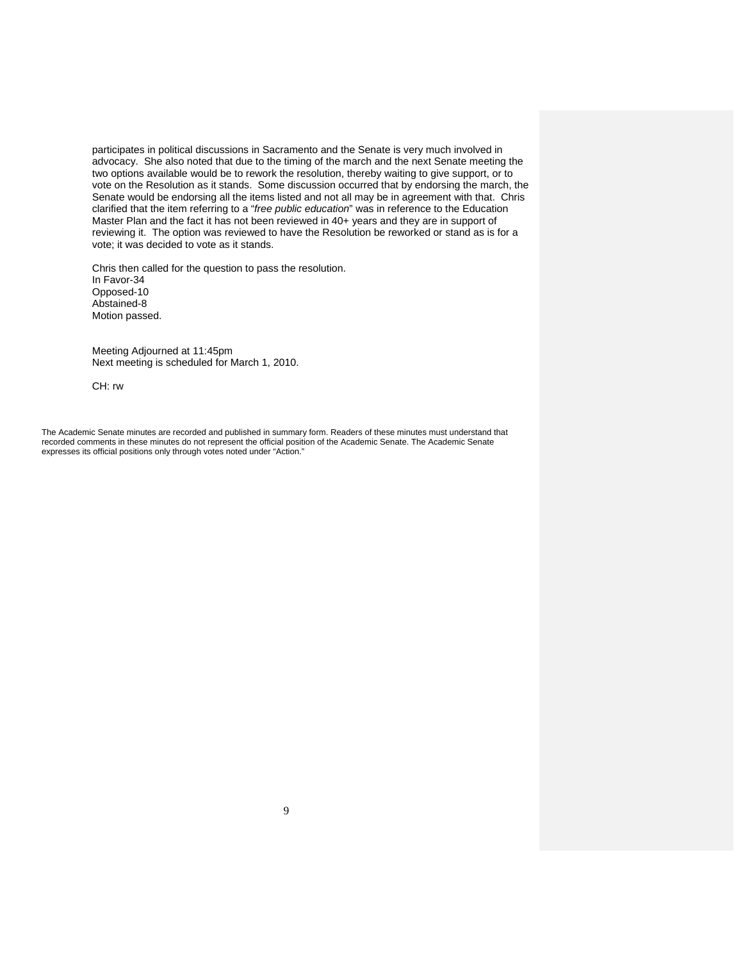participates in political discussions in Sacramento and the Senate is very much involved in advocacy. She also noted that due to the timing of the march and the next Senate meeting the two options available would be to rework the resolution, thereby waiting to give support, or to vote on the Resolution as it stands. Some discussion occurred that by endorsing the march, the Senate would be endorsing all the items listed and not all may be in agreement with that. Chris clarified that the item referring to a "*free public education*" was in reference to the Education Master Plan and the fact it has not been reviewed in 40+ years and they are in support of reviewing it. The option was reviewed to have the Resolution be reworked or stand as is for a vote; it was decided to vote as it stands.

Chris then called for the question to pass the resolution. In Favor-34 Opposed-10 Abstained-8 Motion passed.

Meeting Adjourned at 11:45pm Next meeting is scheduled for March 1, 2010.

CH: rw

The Academic Senate minutes are recorded and published in summary form. Readers of these minutes must understand that recorded comments in these minutes do not represent the official position of the Academic Senate. The Academic Senate expresses its official positions only through votes noted under "Action."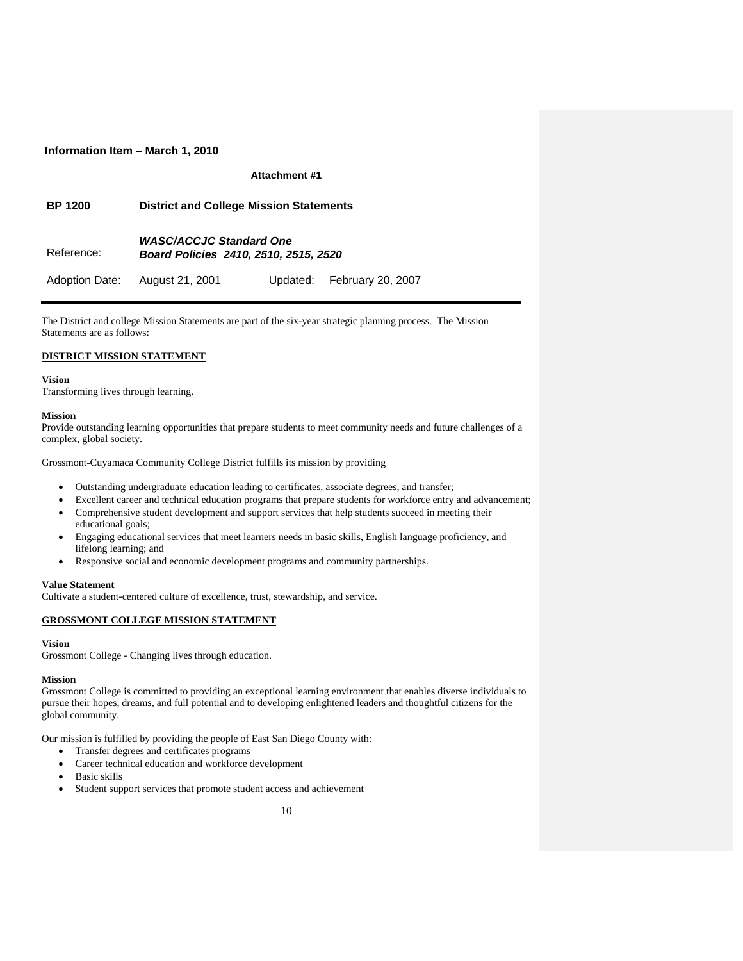### **Information Item – March 1, 2010**

### **Attachment #1**

| <b>BP 1200</b> | <b>District and College Mission Statements</b>                          |  |                            |  |  |  |  |  |
|----------------|-------------------------------------------------------------------------|--|----------------------------|--|--|--|--|--|
| Reference:     | <b>WASC/ACCJC Standard One</b><br>Board Policies 2410, 2510, 2515, 2520 |  |                            |  |  |  |  |  |
| Adoption Date: | August 21, 2001                                                         |  | Updated: February 20, 2007 |  |  |  |  |  |

The District and college Mission Statements are part of the six-year strategic planning process. The Mission Statements are as follows:

### **DISTRICT MISSION STATEMENT**

#### **Vision**

Transforming lives through learning.

#### **Mission**

Provide outstanding learning opportunities that prepare students to meet community needs and future challenges of a complex, global society.

Grossmont-Cuyamaca Community College District fulfills its mission by providing

- Outstanding undergraduate education leading to certificates, associate degrees, and transfer;
- Excellent career and technical education programs that prepare students for workforce entry and advancement;
- Comprehensive student development and support services that help students succeed in meeting their
- educational goals; Engaging educational services that meet learners needs in basic skills, English language proficiency, and lifelong learning; and
- Responsive social and economic development programs and community partnerships.

### **Value Statement**

Cultivate a student-centered culture of excellence, trust, stewardship, and service.

### **GROSSMONT COLLEGE MISSION STATEMENT**

### **Vision**

Grossmont College - Changing lives through education.

### **Mission**

Grossmont College is committed to providing an exceptional learning environment that enables diverse individuals to pursue their hopes, dreams, and full potential and to developing enlightened leaders and thoughtful citizens for the global community.

Our mission is fulfilled by providing the people of East San Diego County with:

- Transfer degrees and certificates programs
- Career technical education and workforce development
- Basic skills
- Student support services that promote student access and achievement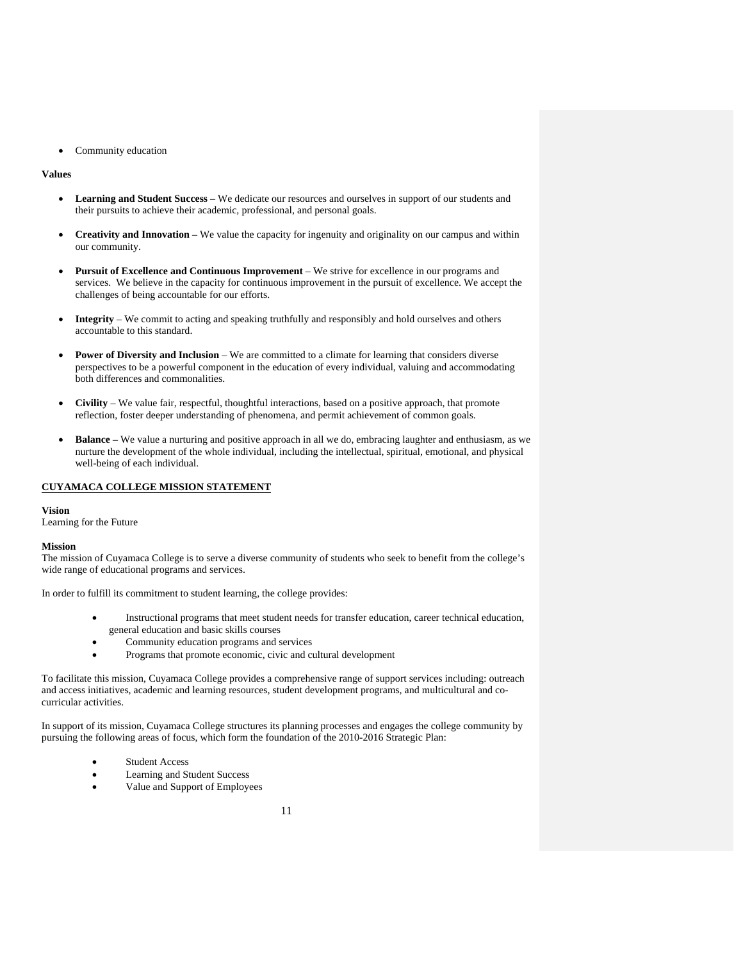Community education

### **Values**

- **Learning and Student Success** We dedicate our resources and ourselves in support of our students and their pursuits to achieve their academic, professional, and personal goals.
- **Creativity and Innovation** We value the capacity for ingenuity and originality on our campus and within our community.
- **Pursuit of Excellence and Continuous Improvement** We strive for excellence in our programs and services. We believe in the capacity for continuous improvement in the pursuit of excellence. We accept the challenges of being accountable for our efforts.
- **Integrity** We commit to acting and speaking truthfully and responsibly and hold ourselves and others accountable to this standard.
- **Power of Diversity and Inclusion** We are committed to a climate for learning that considers diverse perspectives to be a powerful component in the education of every individual, valuing and accommodating both differences and commonalities.
- **Civility** We value fair, respectful, thoughtful interactions, based on a positive approach, that promote reflection, foster deeper understanding of phenomena, and permit achievement of common goals.
- **Balance** We value a nurturing and positive approach in all we do, embracing laughter and enthusiasm, as we nurture the development of the whole individual, including the intellectual, spiritual, emotional, and physical well-being of each individual.

### **CUYAMACA COLLEGE MISSION STATEMENT**

#### **Vision**

Learning for the Future

#### **Mission**

The mission of Cuyamaca College is to serve a diverse community of students who seek to benefit from the college's wide range of educational programs and services.

In order to fulfill its commitment to student learning, the college provides:

- Instructional programs that meet student needs for transfer education, career technical education, general education and basic skills courses
- Community education programs and services
- Programs that promote economic, civic and cultural development

To facilitate this mission, Cuyamaca College provides a comprehensive range of support services including: outreach and access initiatives, academic and learning resources, student development programs, and multicultural and cocurricular activities.

In support of its mission, Cuyamaca College structures its planning processes and engages the college community by pursuing the following areas of focus, which form the foundation of the 2010-2016 Strategic Plan:

- Student Access
- Learning and Student Success
- Value and Support of Employees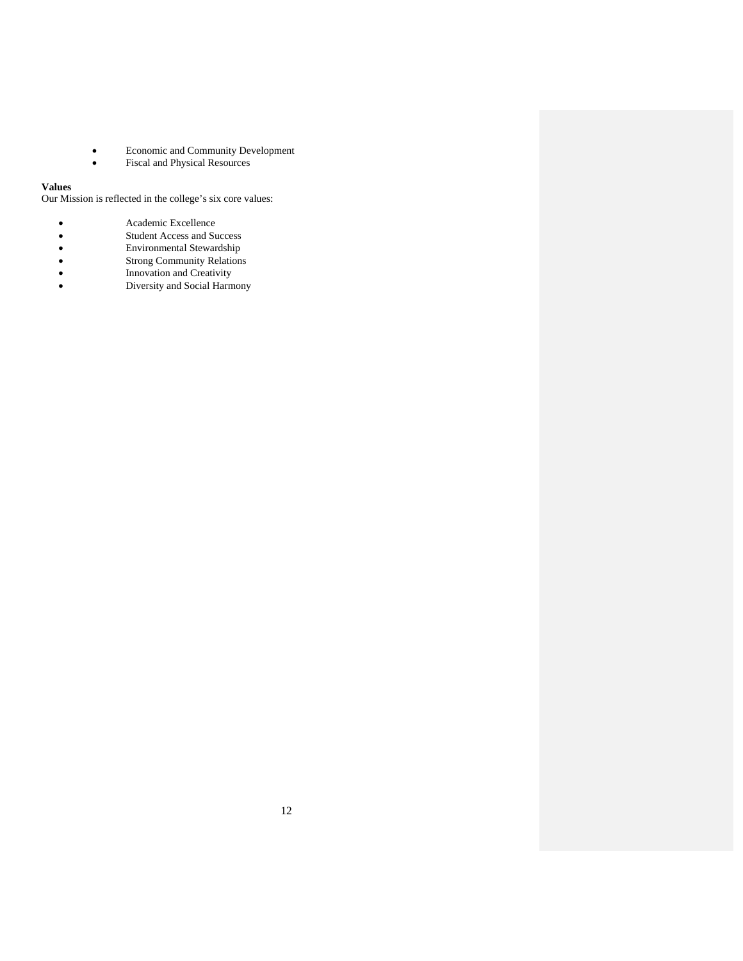- Economic and Community Development
- Fiscal and Physical Resources

### **Values**

Our Mission is reflected in the college's six core values:

- Academic Excellence<br>• Student Access and Su<br>• Environmental Stewar<br>• Strong Community Re<br>• Innovation and Creativ<br>• Diversity and Social H
- Student Access and Success
- Environmental Stewardship
- Strong Community Relations
- Innovation and Creativity
- Diversity and Social Harmony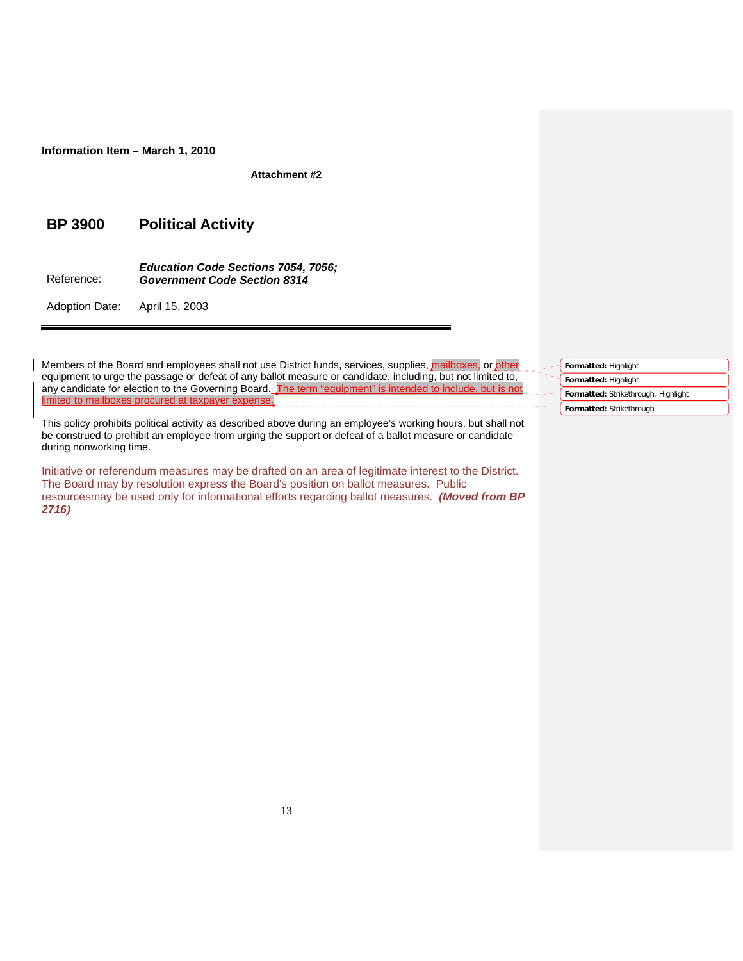**Information Item – March 1, 2010**

**Attachment #2** 

## **BP 3900 Political Activity**

Reference: *Education Code Sections 7054, 7056; Government Code Section 8314* 

Adoption Date: April 15, 2003

Members of the Board and employees shall not use District funds, services, supplies, mailboxes, or other equipment to urge the passage or defeat of any ballot measure or candidate, including, but not limited to, any candidate for election to the Governing Board. The term "equipment" is limited to mailboxes procured at taxpayer expense. \_\_\_\_\_\_\_\_\_\_\_\_\_\_\_\_\_\_\_\_

This policy prohibits political activity as described above during an employee's working hours, but shall not be construed to prohibit an employee from urging the support or defeat of a ballot measure or candidate during nonworking time.

Initiative or referendum measures may be drafted on an area of legitimate interest to the District. The Board may by resolution express the Board's position on ballot measures. Public resourcesmay be used only for informational efforts regarding ballot measures. *(Moved from BP 2716)*

| Formatted: Highlight                |
|-------------------------------------|
| Formatted: Highlight                |
| Formatted: Strikethrough, Highlight |
| Formatted: Strikethrough            |